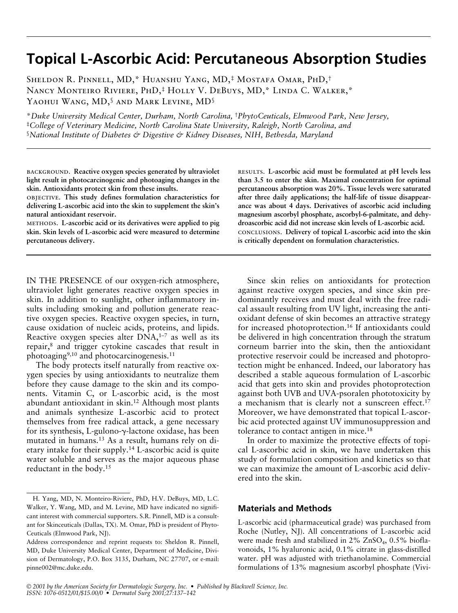# **Topical L-Ascorbic Acid: Percutaneous Absorption Studies**

Sheldon R. Pinnell, MD,\* Huanshu Yang, MD,‡ Mostafa Omar, PhD,† Nancy Monteiro Riviere, PhD,‡ Holly V. DeBuys, MD,\* Linda C. Walker,\* YAOHUI WANG, MD,<sup>§</sup> AND MARK LEVINE, MD<sup>§</sup>

\**Duke University Medical Center, Durham, North Carolina,* †*PhytoCeuticals, Elmwood Park, New Jersey,* ‡*College of Veterinary Medicine, North Carolina State University, Raleigh, North Carolina, and* §*National Institute of Diabetes & Digestive & Kidney Diseases, NIH, Bethesda, Maryland*

background. **Reactive oxygen species generated by ultraviolet light result in photocarcinogenic and photoaging changes in the skin. Antioxidants protect skin from these insults.**

objective. **This study defines formulation characteristics for delivering L-ascorbic acid into the skin to supplement the skin's natural antioxidant reservoir.**

methods. **L-ascorbic acid or its derivatives were applied to pig skin. Skin levels of L-ascorbic acid were measured to determine percutaneous delivery.**

IN THE PRESENCE of our oxygen-rich atmosphere, ultraviolet light generates reactive oxygen species in skin. In addition to sunlight, other inflammatory insults including smoking and pollution generate reactive oxygen species. Reactive oxygen species, in turn, cause oxidation of nucleic acids, proteins, and lipids. Reactive oxygen species alter  $DNA$ ,<sup>1-7</sup> as well as its repair,8 and trigger cytokine cascades that result in photoaging<sup>9,10</sup> and photocarcinogenesis.<sup>11</sup>

The body protects itself naturally from reactive oxygen species by using antioxidants to neutralize them before they cause damage to the skin and its components. Vitamin C, or L-ascorbic acid, is the most abundant antioxidant in skin.12 Although most plants and animals synthesize L-ascorbic acid to protect themselves from free radical attack, a gene necessary for its synthesis, L-gulono- $\gamma$ -lactone oxidase, has been mutated in humans.13 As a result, humans rely on dietary intake for their supply.14 L-ascorbic acid is quite water soluble and serves as the major aqueous phase reductant in the body.15

results. **L-ascorbic acid must be formulated at pH levels less than 3.5 to enter the skin. Maximal concentration for optimal percutaneous absorption was 20%. Tissue levels were saturated after three daily applications; the half-life of tissue disappearance was about 4 days. Derivatives of ascorbic acid including magnesium ascorbyl phosphate, ascorbyl-6-palmitate, and dehydroascorbic acid did not increase skin levels of L-ascorbic acid.** conclusions. **Delivery of topical L-ascorbic acid into the skin is critically dependent on formulation characteristics.**

Since skin relies on antioxidants for protection against reactive oxygen species, and since skin predominantly receives and must deal with the free radical assault resulting from UV light, increasing the antioxidant defense of skin becomes an attractive strategy for increased photoprotection.16 If antioxidants could be delivered in high concentration through the stratum corneum barrier into the skin, then the antioxidant protective reservoir could be increased and photoprotection might be enhanced. Indeed, our laboratory has described a stable aqueous formulation of L-ascorbic acid that gets into skin and provides photoprotection against both UVB and UVA-psoralen phototoxicity by a mechanism that is clearly not a sunscreen effect.<sup>17</sup> Moreover, we have demonstrated that topical L-ascorbic acid protected against UV immunosuppression and tolerance to contact antigen in mice.18

In order to maximize the protective effects of topical L-ascorbic acid in skin, we have undertaken this study of formulation composition and kinetics so that we can maximize the amount of L-ascorbic acid delivered into the skin.

# **Materials and Methods**

L-ascorbic acid (pharmaceutical grade) was purchased from Roche (Nutley, NJ). All concentrations of L-ascorbic acid were made fresh and stabilized in  $2\%$  ZnSO<sub>4</sub>, 0.5% bioflavonoids, 1% hyaluronic acid, 0.1% citrate in glass-distilled water. pH was adjusted with triethanolamine. Commercial formulations of 13% magnesium ascorbyl phosphate (Vivi-

H. Yang, MD, N. Monteiro-Riviere, PhD, H.V. DeBuys, MD, L.C. Walker, Y. Wang, MD, and M. Levine, MD have indicated no significant interest with commercial supporters. S.R. Pinnell, MD is a consultant for Skinceuticals (Dallas, TX). M. Omar, PhD is president of Phyto-Ceuticals (Elmwood Park, NJ).

Address correspondence and reprint requests to: Sheldon R. Pinnell, MD, Duke University Medical Center, Department of Medicine, Division of Dermatology, P.O. Box 3135, Durham, NC 27707, or e-mail: pinne002@mc.duke.edu.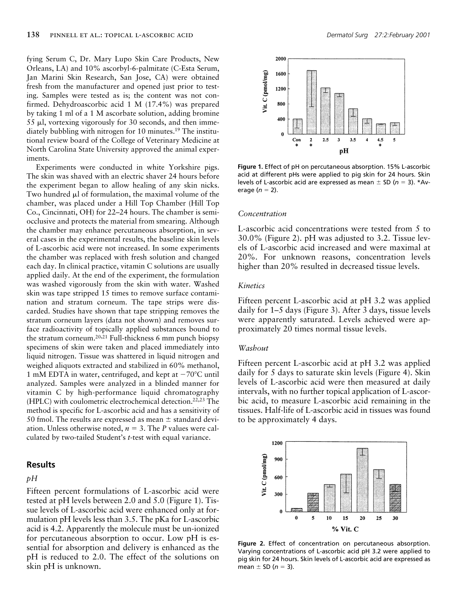fying Serum C, Dr. Mary Lupo Skin Care Products, New Orleans, LA) and 10% ascorbyl-6-palmitate (C-Esta Serum, Jan Marini Skin Research, San Jose, CA) were obtained fresh from the manufacturer and opened just prior to testing. Samples were tested as is; the content was not confirmed. Dehydroascorbic acid 1 M (17.4%) was prepared by taking 1 ml of a 1 M ascorbate solution, adding bromine 55 ml, vortexing vigorously for 30 seconds, and then immediately bubbling with nitrogen for 10 minutes.<sup>19</sup> The institutional review board of the College of Veterinary Medicine at North Carolina State University approved the animal experiments.

Experiments were conducted in white Yorkshire pigs. The skin was shaved with an electric shaver 24 hours before the experiment began to allow healing of any skin nicks. Two hundred  $\mu$ l of formulation, the maximal volume of the chamber, was placed under a Hill Top Chamber (Hill Top Co., Cincinnati, OH) for 22–24 hours. The chamber is semiocclusive and protects the material from smearing. Although the chamber may enhance percutaneous absorption, in several cases in the experimental results, the baseline skin levels of L-ascorbic acid were not increased. In some experiments the chamber was replaced with fresh solution and changed each day. In clinical practice, vitamin C solutions are usually applied daily. At the end of the experiment, the formulation was washed vigorously from the skin with water. Washed skin was tape stripped 15 times to remove surface contamination and stratum corneum. The tape strips were discarded. Studies have shown that tape stripping removes the stratum corneum layers (data not shown) and removes surface radioactivity of topically applied substances bound to the stratum corneum.20,21 Full-thickness 6 mm punch biopsy specimens of skin were taken and placed immediately into liquid nitrogen. Tissue was shattered in liquid nitrogen and weighed aliquots extracted and stabilized in 60% methanol, 1 mM EDTA in water, centrifuged, and kept at  $-70^{\circ}$ C until analyzed. Samples were analyzed in a blinded manner for vitamin C by high-performance liquid chromatography (HPLC) with coulometric electrochemical detection.22,23 The method is specific for L-ascorbic acid and has a sensitivity of 50 fmol. The results are expressed as mean  $\pm$  standard deviation. Unless otherwise noted,  $n = 3$ . The *P* values were calculated by two-tailed Student's *t*-test with equal variance.

# **Results**

## *pH*

Fifteen percent formulations of L-ascorbic acid were tested at pH levels between 2.0 and 5.0 (Figure 1). Tissue levels of L-ascorbic acid were enhanced only at formulation pH levels less than 3.5. The pKa for L-ascorbic acid is 4.2. Apparently the molecule must be un-ionized for percutaneous absorption to occur. Low pH is essential for absorption and delivery is enhanced as the pH is reduced to 2.0. The effect of the solutions on skin pH is unknown.



**Figure 1.** Effect of pH on percutaneous absorption. 15% L-ascorbic acid at different pHs were applied to pig skin for 24 hours. Skin levels of L-ascorbic acid are expressed as mean  $\pm$  SD ( $n = 3$ ). \*Average  $(n = 2)$ .

#### *Concentration*

L-ascorbic acid concentrations were tested from 5 to 30.0% (Figure 2). pH was adjusted to 3.2. Tissue levels of L-ascorbic acid increased and were maximal at 20%. For unknown reasons, concentration levels higher than 20% resulted in decreased tissue levels.

#### *Kinetics*

Fifteen percent L-ascorbic acid at pH 3.2 was applied daily for 1–5 days (Figure 3). After 3 days, tissue levels were apparently saturated. Levels achieved were approximately 20 times normal tissue levels.

#### *Washout*

Fifteen percent L-ascorbic acid at pH 3.2 was applied daily for 5 days to saturate skin levels (Figure 4). Skin levels of L-ascorbic acid were then measured at daily intervals, with no further topical application of L-ascorbic acid, to measure L-ascorbic acid remaining in the tissues. Half-life of L-ascorbic acid in tissues was found to be approximately 4 days.



**Figure 2.** Effect of concentration on percutaneous absorption. Varying concentrations of L-ascorbic acid pH 3.2 were applied to pig skin for 24 hours. Skin levels of L-ascorbic acid are expressed as mean  $\pm$  SD ( $n = 3$ ).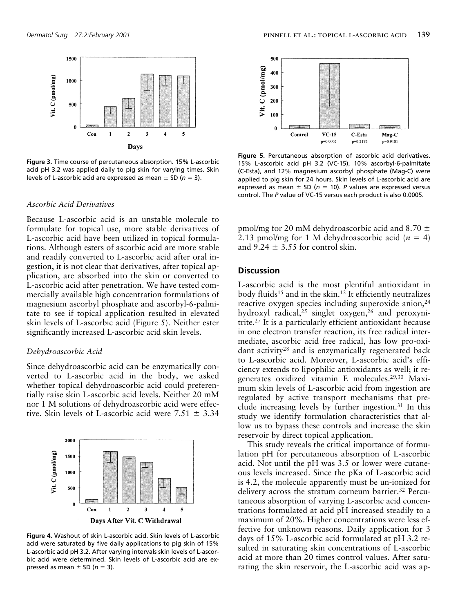

**Figure 3.** Time course of percutaneous absorption. 15% L-ascorbic acid pH 3.2 was applied daily to pig skin for varying times. Skin levels of L-ascorbic acid are expressed as mean  $\pm$  SD ( $n = 3$ ).

# *Ascorbic Acid Derivatives*

Because L-ascorbic acid is an unstable molecule to formulate for topical use, more stable derivatives of L-ascorbic acid have been utilized in topical formulations. Although esters of ascorbic acid are more stable and readily converted to L-ascorbic acid after oral ingestion, it is not clear that derivatives, after topical application, are absorbed into the skin or converted to L-ascorbic acid after penetration. We have tested commercially available high concentration formulations of magnesium ascorbyl phosphate and ascorbyl-6-palmitate to see if topical application resulted in elevated skin levels of L-ascorbic acid (Figure 5). Neither ester significantly increased L-ascorbic acid skin levels.

### *Dehydroascorbic Acid*

Since dehydroascorbic acid can be enzymatically converted to L-ascorbic acid in the body, we asked whether topical dehydroascorbic acid could preferentially raise skin L-ascorbic acid levels. Neither 20 mM nor 1 M solutions of dehydroascorbic acid were effective. Skin levels of L-ascorbic acid were  $7.51 \pm 3.34$ 



**Figure 4.** Washout of skin L-ascorbic acid. Skin levels of L-ascorbic acid were saturated by five daily applications to pig skin of 15% L-ascorbic acid pH 3.2. After varying intervals skin levels of L-ascorbic acid were determined. Skin levels of L-ascorbic acid are expressed as mean  $\pm$  SD ( $n = 3$ ).



**Figure 5.** Percutaneous absorption of ascorbic acid derivatives. 15% L-ascorbic acid pH 3.2 (VC-15), 10% ascorbyl-6-palmitate (C-Esta), and 12% magnesium ascorbyl phosphate (Mag-C) were applied to pig skin for 24 hours. Skin levels of L-ascorbic acid are expressed as mean  $\pm$  SD ( $n = 10$ ). *P* values are expressed versus control. The *P* value of VC-15 versus each product is also 0.0005.

pmol/mg for 20 mM dehydroascorbic acid and 8.70  $\pm$ 2.13 pmol/mg for 1 M dehydroascorbic acid  $(n = 4)$ and  $9.24 \pm 3.55$  for control skin.

## **Discussion**

L-ascorbic acid is the most plentiful antioxidant in body fluids<sup>15</sup> and in the skin.<sup>12</sup> It efficiently neutralizes reactive oxygen species including superoxide anion,<sup>24</sup> hydroxyl radical,<sup>25</sup> singlet oxygen,<sup>26</sup> and peroxynitrite.27 It is a particularly efficient antioxidant because in one electron transfer reaction, its free radical intermediate, ascorbic acid free radical, has low pro-oxidant activity28 and is enzymatically regenerated back to L-ascorbic acid. Moreover, L-ascorbic acid's efficiency extends to lipophilic antioxidants as well; it regenerates oxidized vitamin E molecules.29,30 Maximum skin levels of L-ascorbic acid from ingestion are regulated by active transport mechanisms that preclude increasing levels by further ingestion.31 In this study we identify formulation characteristics that allow us to bypass these controls and increase the skin reservoir by direct topical application.

This study reveals the critical importance of formulation pH for percutaneous absorption of L-ascorbic acid. Not until the pH was 3.5 or lower were cutaneous levels increased. Since the pKa of L-ascorbic acid is 4.2, the molecule apparently must be un-ionized for delivery across the stratum corneum barrier.<sup>32</sup> Percutaneous absorption of varying L-ascorbic acid concentrations formulated at acid pH increased steadily to a maximum of 20%. Higher concentrations were less effective for unknown reasons. Daily application for 3 days of 15% L-ascorbic acid formulated at pH 3.2 resulted in saturating skin concentrations of L-ascorbic acid at more than 20 times control values. After saturating the skin reservoir, the L-ascorbic acid was ap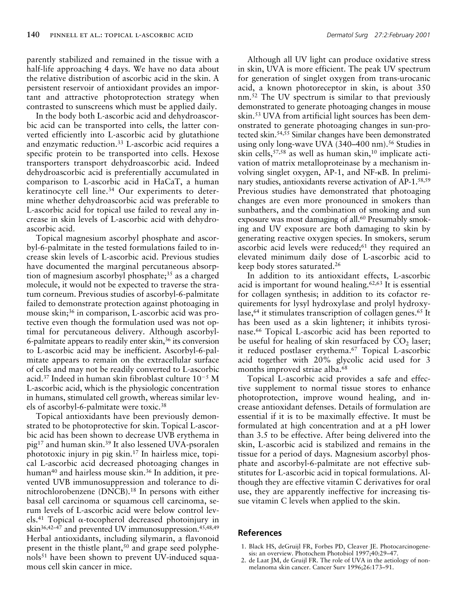parently stabilized and remained in the tissue with a half-life approaching 4 days. We have no data about the relative distribution of ascorbic acid in the skin. A persistent reservoir of antioxidant provides an important and attractive photoprotection strategy when contrasted to sunscreens which must be applied daily.

In the body both L-ascorbic acid and dehydroascorbic acid can be transported into cells, the latter converted efficiently into L-ascorbic acid by glutathione and enzymatic reduction.33 L-ascorbic acid requires a specific protein to be transported into cells. Hexose transporters transport dehydroascorbic acid. Indeed dehydroascorbic acid is preferentially accumulated in comparison to L-ascorbic acid in HaCaT, a human keratinocyte cell line.34 Our experiments to determine whether dehydroascorbic acid was preferable to L-ascorbic acid for topical use failed to reveal any increase in skin levels of L-ascorbic acid with dehydroascorbic acid.

Topical magnesium ascorbyl phosphate and ascorbyl-6-palmitate in the tested formulations failed to increase skin levels of L-ascorbic acid. Previous studies have documented the marginal percutaneous absorption of magnesium ascorbyl phosphate; $35$  as a charged molecule, it would not be expected to traverse the stratum corneum. Previous studies of ascorbyl-6-palmitate failed to demonstrate protection against photoaging in mouse skin;<sup>36</sup> in comparison, L-ascorbic acid was protective even though the formulation used was not optimal for percutaneous delivery. Although ascorbyl-6-palmitate appears to readily enter skin,36 its conversion to L-ascorbic acid may be inefficient. Ascorbyl-6-palmitate appears to remain on the extracellular surface of cells and may not be readily converted to L-ascorbic acid.<sup>37</sup> Indeed in human skin fibroblast culture  $10^{-5}$  M L-ascorbic acid, which is the physiologic concentration in humans, stimulated cell growth, whereas similar levels of ascorbyl-6-palmitate were toxic.38

Topical antioxidants have been previously demonstrated to be photoprotective for skin. Topical L-ascorbic acid has been shown to decrease UVB erythema in pig17 and human skin.39 It also lessened UVA-psoralen phototoxic injury in pig skin.17 In hairless mice, topical L-ascorbic acid decreased photoaging changes in human<sup>40</sup> and hairless mouse skin.<sup>36</sup> In addition, it prevented UVB immunosuppression and tolerance to dinitrochlorobenzene (DNCB).18 In persons with either basal cell carcinoma or squamous cell carcinoma, serum levels of L-ascorbic acid were below control levels.<sup>41</sup> Topical  $\alpha$ -tocopherol decreased photoinjury in skin<sup>36,42-47</sup> and prevented UV immunosuppression.<sup>45,48,49</sup> Herbal antioxidants, including silymarin, a flavonoid present in the thistle plant,<sup>50</sup> and grape seed polyphenols51 have been shown to prevent UV-induced squamous cell skin cancer in mice.

Although all UV light can produce oxidative stress in skin, UVA is more efficient. The peak UV spectrum for generation of singlet oxygen from trans-urocanic acid, a known photoreceptor in skin, is about 350 nm.<sup>52</sup> The UV spectrum is similar to that previously demonstrated to generate photoaging changes in mouse skin.53 UVA from artificial light sources has been demonstrated to generate photoaging changes in sun-pro-

tected skin.54,55 Similar changes have been demonstrated using only long-wave UVA (340–400 nm).<sup>56</sup> Studies in skin cells,57,58 as well as human skin,10 implicate activation of matrix metalloproteinase by a mechanism involving singlet oxygen, AP-1, and NF-kB. In preliminary studies, antioxidants reverse activation of AP-1.58,59 Previous studies have demonstrated that photoaging changes are even more pronounced in smokers than sunbathers, and the combination of smoking and sun exposure was most damaging of all.<sup>60</sup> Presumably smoking and UV exposure are both damaging to skin by generating reactive oxygen species. In smokers, serum ascorbic acid levels were reduced;<sup>61</sup> they required an elevated minimum daily dose of L-ascorbic acid to keep body stores saturated.26

In addition to its antioxidant effects, L-ascorbic acid is important for wound healing.62,63 It is essential for collagen synthesis; in addition to its cofactor requirements for lysyl hydroxylase and prolyl hydroxylase,<sup>64</sup> it stimulates transcription of collagen genes.<sup>65</sup> It has been used as a skin lightener; it inhibits tyrosinase.66 Topical L-ascorbic acid has been reported to be useful for healing of skin resurfaced by  $CO<sub>2</sub>$  laser; it reduced postlaser erythema.67 Topical L-ascorbic acid together with 20% glycolic acid used for 3 months improved striae alba.<sup>68</sup>

Topical L-ascorbic acid provides a safe and effective supplement to normal tissue stores to enhance photoprotection, improve wound healing, and increase antioxidant defenses. Details of formulation are essential if it is to be maximally effective. It must be formulated at high concentration and at a pH lower than 3.5 to be effective. After being delivered into the skin, L-ascorbic acid is stabilized and remains in the tissue for a period of days. Magnesium ascorbyl phosphate and ascorbyl-6-palmitate are not effective substitutes for L-ascorbic acid in topical formulations. Although they are effective vitamin C derivatives for oral use, they are apparently ineffective for increasing tissue vitamin C levels when applied to the skin.

## **References**

- 1. Black HS, deGruijl FR, Forbes PD, Cleaver JE. Photocarcinogenesis: an overview. Photochem Photobiol 1997;40:29–47.
- 2. de Laat JM, de Gruijl FR. The role of UVA in the aetiology of nonmelanoma skin cancer. Cancer Surv 1996;26:173–91.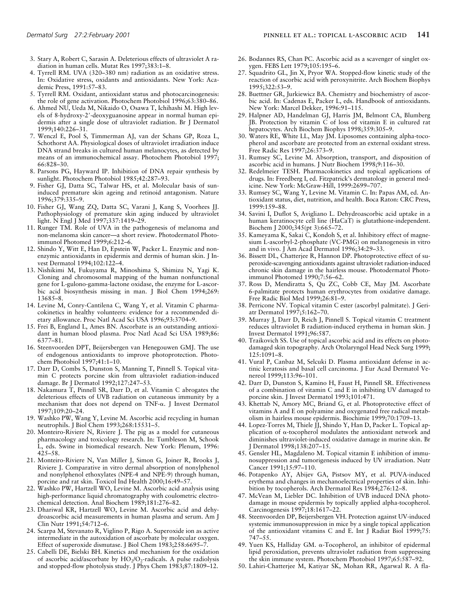- 3. Stary A, Robert C, Sarasin A. Deleterious effects of ultraviolet A radiation in human cells. Mutat Res 1997;383:1–8.
- 4. Tyrrell RM. UVA (320–380 nm) radiation as an oxidative stress. In: Oxidative stress, oxidants and antioxidants. New York: Academic Press, 1991:57–83.
- 5. Tyrrell RM. Oxidant, antioxidant status and photocarcinogenesis: the role of gene activation. Photochem Photobiol 1996;63:380–86.
- 6. Ahmed NU, Ueda M, Nikaido O, Osawa T, Ichihashi M. High levels of 8-hydroxy-2'-deoxyguanosine appear in normal human epidermis after a single dose of ultraviolet radiation. Br J Dermatol 1999;140:226–31.
- 7. Wenczl E, Pool S, Timmerman AJ, van der Schans GP, Roza L, Schothorst AA. Physiological doses of ultraviolet irradiation induce DNA strand breaks in cultured human melanocytes, as detected by means of an immunochemical assay. Photochem Photobiol 1997; 66:828–30.
- 8. Parsons PG, Hayward IP. Inhibition of DNA repair synthesis by sunlight. Photochem Photobiol 1985;42:287–93.
- 9. Fisher GJ, Datta SC, Talwar HS, et al. Molecular basis of suninduced premature skin ageing and retinoid antagonism. Nature 1996;379:335–9.
- 10. Fisher GJ, Wang ZQ, Datta SC, Varani J, Kang S, Voorhees JJ. Pathophysiology of premature skin aging induced by ultraviolet light. N Engl J Med 1997;337:1419-29.
- 11. Runger TM. Role of UVA in the pathogenesis of melanoma and non-melanoma skin cancer—a short review. Photodermatol Photoimmunol Photomed 1999;6:212–6.
- 12. Shindo Y, Witt E, Han D, Epstein W, Packer L. Enzymic and nonenzymic antioxidants in epidermis and dermis of human skin. J Invest Dermatol 1994;102:122–4.
- 13. Nishikimi M, Fukuyama R, Minoshima S, Shimizu N, Yagi K. Cloning and chromosomal mapping of the human nonfunctional gene for L-gulono-gamma-lactone oxidase, the enzyme for L-ascorbic acid biosynthesis missing in man. J Biol Chem 1994;269: 13685–8.
- 14. Levine M, Conry-Cantilena C, Wang Y, et al. Vitamin C pharmacokinetics in healthy volunteers: evidence for a recommended dietary allowance. Proc Natl Acad Sci USA 1996;93:3704–9.
- 15. Frei B, England L, Ames BN. Ascorbate is an outstanding antioxidant in human blood plasma. Proc Natl Acad Sci USA 1989;86: 6377–81.
- 16. Steenvoorden DPT, Beijersbergen van Henegouwen GMJ. The use of endogenous antioxidants to improve photoprotection. Photochem Photobiol 1997;41:1–10.
- 17. Darr D, Combs S, Dunston S, Manning T, Pinnell S. Topical vitamin C protects porcine skin from ultraviolet radiation-induced damage. Br J Dermatol 1992;127:247–53.
- 18. Nakamura T, Pinnell SR, Darr D, et al. Vitamin C abrogates the deleterious effects of UVB radiation on cutaneous immunity by a mechanism that does not depend on TNF-a. J Invest Dermatol 1997;109:20–24.
- 19. Washko PW, Wang Y, Levine M. Ascorbic acid recycling in human neutrophils. J Biol Chem 1993;268:15531–5.
- 20. Monteiro-Riviere N, Riviere J. The pig as a model for cutaneous pharmacology and toxicology research. In: Tumbleson M, Schook L, eds. Swine in biomedical research. New York: Plenum, 1996: 425–58.
- 21. Monteiro-Riviere N, Van Miller J, Simon G, Joiner R, Brooks J, Riviere J. Comparative in vitro dermal absorption of nonylphenol and nonylphenol ethoxylates (NPE-4 and NPE-9) through human, porcine and rat skin. Toxicol Ind Health 2000;16:49–57.
- 22. Washko PW, Hartzell WO, Levine M. Ascorbic acid analysis using high-performance liquid chromatography with coulometric electrochemical detection. Anal Biochem 1989;181:276–82.
- 23. Dhariwal KR, Hartzell WO, Levine M. Ascorbic acid and dehydroascorbic acid measurements in human plasma and serum. Am J Clin Nutr 1991;54:712–6.
- 24. Scarpa M, Stevanato R, Viglino P, Rigo A. Superoxide ion as active intermediate in the autoxidation of ascorbate by molecular oxygen. Effect of superoxide dismutase. J Biol Chem 1983;258:6695–7.
- 25. Cabelli DE, Bielski BH. Kinetics and mechanism for the oxidation of ascorbic acid/ascorbate by  $HO_2/O_2$ -radicals. A pulse radiolysis and stopped-flow photolysis study. J Phys Chem 1983;87:1809–12.
- 26. Bodannes RS, Chan PC. Ascorbic acid as a scavenger of singlet oxygen. FEBS Lett 1979;105:195–6.
- 27. Squadrito GL, Jin X, Pryor WA. Stopped-flow kinetic study of the reaction of ascorbic acid with peroxynitrite. Arch Biochem Biophys 1995;322:53–9.
- 28. Buettner GR, Jurkiewicz BA. Chemistry and biochemistry of ascorbic acid. In: Cadenas E, Packer L, eds. Handbook of antioxidants. New York: Marcel Dekker, 1996:91–115.
- 29. Halpner AD, Handelman GJ, Harris JM, Belmont CA, Blumberg JB. Protection by vitamin C of loss of vitamin E in cultured rat hepatocytes. Arch Biochem Biophys 1998;359:305–9.
- 30. Waters RE, White LL, May JM. Liposomes containing alpha-tocopherol and ascorbate are protected from an external oxidant stress. Free Radic Res 1997;26:373–9.
- 31. Rumsey SC, Levine M. Absorption, transport, and disposition of ascorbic acid in humans. J Nutr Biochem 1998;9:116–30.
- 32. Redelmeier TESH. Pharmacokinetics and topical applications of drugs. In: Freedberg I, ed. Fitzpatrick's dermatology in general medicine. New York: McGraw-Hill, 1999:2699–707.
- 33. Rumsey SC, Wang Y, Levine M. Vitamin C. In: Papas AM, ed. Antioxidant status, diet, nutrition, and health. Boca Raton: CRC Press, 1999:159–88.
- 34. Savini I, Duflot S, Avigliano L. Dehydroascorbic acid uptake in a human keratinocyte cell line (HaCaT) is glutathione-independent. Biochem J 2000;345(pt 3):665–72.
- 35. Kameyama K, Sakai C, Kondoh S, et al. Inhibitory effect of magnesium L-ascorbyl-2-phosphate (VC-PMG) on melanogenesis in vitro and in vivo. J Am Acad Dermatol 1996;34:29–33.
- 36. Bissett DL, Chatterjee R, Hannon DP. Photoprotective effect of superoxide-scavenging antioxidants against ultraviolet radiation-induced chronic skin damage in the hairless mouse. Photodermatol Photoimmunol Photomed 1990;7:56–62.
- 37. Ross D, Mendiratta S, Qu ZC, Cobb CE, May JM. Ascorbate 6-palmitate protects human erythrocytes from oxidative damage. Free Radic Biol Med 1999;26:81–9.
- 38. Perricone NV. Topical vitamin C ester (ascorbyl palmitate). J Geriatr Dermatol 1997;5:162–70.
- 39. Murray J, Darr D, Reich J, Pinnell S. Topical vitamin C treatment reduces ultraviolet B radiation-induced erythema in human skin. J Invest Dermatol 1991;96:587.
- 40. Traikovich SS. Use of topical ascorbic acid and its effects on photodamaged skin topography. Arch Otolaryngol Head Neck Surg 1999; 125:1091–8.
- 41. Vural P, Canbaz M, Selcuki D. Plasma antioxidant defense in actinic keratosis and basal cell carcinoma. J Eur Acad Dermatol Venereol 1999;113:96–101.
- 42. Darr D, Dunston S, Kamino H, Faust H, Pinnell SR. Effectiveness of a combination of vitamin C and E in inhibiting UV damaged to porcine skin. J Invest Dermatol 1993;101:471.
- 43. Khettab N, Amory MC, Briand G, et al. Photoprotective effect of vitamins A and E on polyamine and oxygenated free radical metabolism in hairless mouse epidermis. Biochimie 1999;70:1709–13.
- 44. Lopez-Torres M, Thiele JJ, Shindo Y, Han D, Packer L. Topical application of a-tocopherol modulates the antioxidant network and diminishes ultraviolet-induced oxidative damage in murine skin. Br J Dermatol 1998;138:207–15.
- 45. Gensler HL, Magdaleno M. Topical vitamin E inhibition of immunosuppression and tumorigenesis induced by UV irradiation. Nutr Cancer 1991;15:97–110.
- 46. Potapenko AY, Abijev GA, Pistsov MY, et al. PUVA-induced erythema and changes in mechanoelectrical properties of skin. Inhibition by tocopherols. Arch Dermatol Res 1984;276:12–8.
- 47. McVean M, Liebler DC. Inhibition of UVB induced DNA photodamage in mouse epidermis by topically applied alpha-tocopherol. Carcinogenesis 1997;18:1617–22.
- 48. Steenvoorden DP, Beijersbergen VH. Protection against UV-induced systemic immunosuppression in mice by a single topical application of the antioxidant vitamins C and E. Int J Radiat Biol 1999;75: 747–55.
- 49. Yuen KS, Halliday GM. a-Tocopherol, an inhibitor of epidermal lipid peroxidation, prevents ultraviolet radiation from suppressing the skin immune system. Photochem Photobiol 1997;65:587–92.
- 50. Lahiri-Chatterjee M, Katiyar SK, Mohan RR, Agarwal R. A fla-